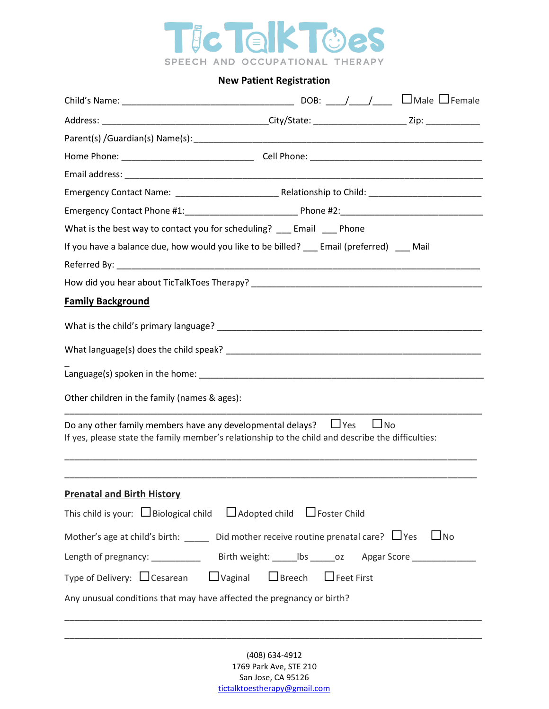

## **New Patient Registration**

|                                                                                                                                                                                         | What is the best way to contact you for scheduling? __ Email __ Phone |  |  |  |  |
|-----------------------------------------------------------------------------------------------------------------------------------------------------------------------------------------|-----------------------------------------------------------------------|--|--|--|--|
| If you have a balance due, how would you like to be billed? __ Email (preferred) __ Mail                                                                                                |                                                                       |  |  |  |  |
|                                                                                                                                                                                         |                                                                       |  |  |  |  |
|                                                                                                                                                                                         |                                                                       |  |  |  |  |
| <b>Family Background</b>                                                                                                                                                                |                                                                       |  |  |  |  |
|                                                                                                                                                                                         |                                                                       |  |  |  |  |
|                                                                                                                                                                                         |                                                                       |  |  |  |  |
|                                                                                                                                                                                         |                                                                       |  |  |  |  |
|                                                                                                                                                                                         |                                                                       |  |  |  |  |
| Other children in the family (names & ages):                                                                                                                                            |                                                                       |  |  |  |  |
| Do any other family members have any developmental delays? $\Box$ Yes<br>$\Box$ No<br>If yes, please state the family member's relationship to the child and describe the difficulties: |                                                                       |  |  |  |  |
| <b>Prenatal and Birth History</b>                                                                                                                                                       |                                                                       |  |  |  |  |
| This child is your: $\Box$ Biological child $\Box$ Adopted child $\Box$ Foster Child                                                                                                    |                                                                       |  |  |  |  |
| Mother's age at child's birth: _____ Did mother receive routine prenatal care? $\Box$ Yes<br>$\Box$ No                                                                                  |                                                                       |  |  |  |  |
|                                                                                                                                                                                         |                                                                       |  |  |  |  |
| Type of Delivery: $\Box$ Cesarean $\Box$ Vaginal $\Box$ Breech $\Box$ Feet First                                                                                                        |                                                                       |  |  |  |  |
| Any unusual conditions that may have affected the pregnancy or birth?                                                                                                                   |                                                                       |  |  |  |  |
|                                                                                                                                                                                         |                                                                       |  |  |  |  |

(408) 634-4912 1769 Park Ave, STE 210 San Jose, CA 95126 [tictalktoestherapy@gmail.com](mailto:tictalktoestherapy@gmail.com)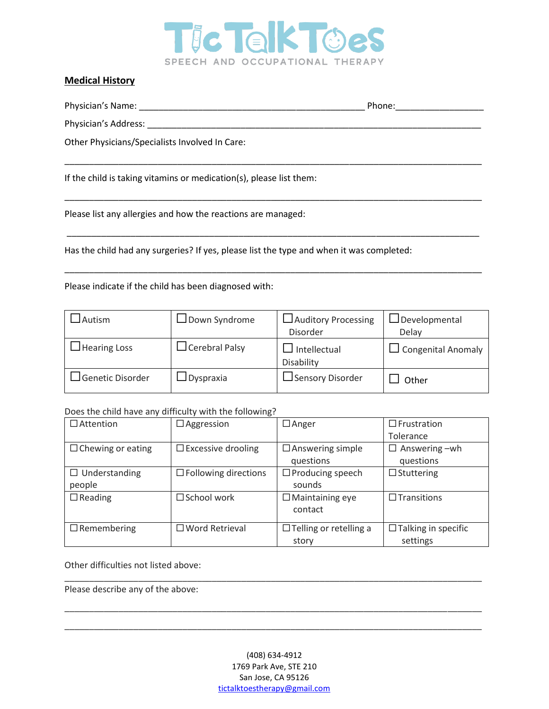

\_\_\_\_\_\_\_\_\_\_\_\_\_\_\_\_\_\_\_\_\_\_\_\_\_\_\_\_\_\_\_\_\_\_\_\_\_\_\_\_\_\_\_\_\_\_\_\_\_\_\_\_\_\_\_\_\_\_\_\_\_\_\_\_\_\_\_\_\_\_\_\_\_\_\_\_\_\_\_\_\_\_\_\_\_

\_\_\_\_\_\_\_\_\_\_\_\_\_\_\_\_\_\_\_\_\_\_\_\_\_\_\_\_\_\_\_\_\_\_\_\_\_\_\_\_\_\_\_\_\_\_\_\_\_\_\_\_\_\_\_\_\_\_\_\_\_\_\_\_\_\_\_\_\_\_\_\_\_\_\_\_\_\_\_\_\_\_\_\_\_

\_\_\_\_\_\_\_\_\_\_\_\_\_\_\_\_\_\_\_\_\_\_\_\_\_\_\_\_\_\_\_\_\_\_\_\_\_\_\_\_\_\_\_\_\_\_\_\_\_\_\_\_\_\_\_\_\_\_\_\_\_\_\_\_\_\_\_\_\_\_\_\_\_\_\_\_\_\_\_\_\_\_\_\_

\_\_\_\_\_\_\_\_\_\_\_\_\_\_\_\_\_\_\_\_\_\_\_\_\_\_\_\_\_\_\_\_\_\_\_\_\_\_\_\_\_\_\_\_\_\_\_\_\_\_\_\_\_\_\_\_\_\_\_\_\_\_\_\_\_\_\_\_\_\_\_\_\_\_\_\_\_\_\_\_\_\_\_\_\_

### **Medical History**

Physician's Name: \_\_\_\_\_\_\_\_\_\_\_\_\_\_\_\_\_\_\_\_\_\_\_\_\_\_\_\_\_\_\_\_\_\_\_\_\_\_\_\_\_\_\_\_\_\_ Phone:\_\_\_\_\_\_\_\_\_\_\_\_\_\_\_\_\_\_

Physician's Address:

Other Physicians/Specialists Involved In Care:

If the child is taking vitamins or medication(s), please list them:

Please list any allergies and how the reactions are managed:

Has the child had any surgeries? If yes, please list the type and when it was completed:

Please indicate if the child has been diagnosed with:

| Autism              | $\Box$ Down Syndrome  | Auditory Processing        | JDevelopmental            |
|---------------------|-----------------------|----------------------------|---------------------------|
|                     |                       | Disorder                   | Delay                     |
| <b>Hearing Loss</b> | $\Box$ Cerebral Palsy | Intellectual<br>Disability | $\Box$ Congenital Anomaly |
| Genetic Disorder    | <b>J</b> Dyspraxia    | ⊿Sensory Disorder          | Other                     |

Does the child have any difficulty with the following?

| $\Box$ Attention         | $\Box$ Aggression           | $\Box$ Anger                  | $\Box$ Frustration         |
|--------------------------|-----------------------------|-------------------------------|----------------------------|
|                          |                             |                               | Tolerance                  |
| $\Box$ Chewing or eating | $\Box$ Excessive drooling   | $\Box$ Answering simple       | $\Box$ Answering $-wh$     |
|                          |                             | questions                     | questions                  |
| $\Box$ Understanding     | $\Box$ Following directions | $\Box$ Producing speech       | $\Box$ Stuttering          |
| people                   |                             | sounds                        |                            |
| $\Box$ Reading           | $\square$ School work       | $\Box$ Maintaining eye        | $\Box$ Transitions         |
|                          |                             | contact                       |                            |
| $\Box$ Remembering       | $\Box$ Word Retrieval       | $\Box$ Telling or retelling a | $\Box$ Talking in specific |
|                          |                             | story                         | settings                   |

Other difficulties not listed above:

Please describe any of the above:

\_\_\_\_\_\_\_\_\_\_\_\_\_\_\_\_\_\_\_\_\_\_\_\_\_\_\_\_\_\_\_\_\_\_\_\_\_\_\_\_\_\_\_\_\_\_\_\_\_\_\_\_\_\_\_\_\_\_\_\_\_\_\_\_\_\_\_\_\_\_\_\_\_\_\_\_\_\_\_\_\_\_\_\_\_

\_\_\_\_\_\_\_\_\_\_\_\_\_\_\_\_\_\_\_\_\_\_\_\_\_\_\_\_\_\_\_\_\_\_\_\_\_\_\_\_\_\_\_\_\_\_\_\_\_\_\_\_\_\_\_\_\_\_\_\_\_\_\_\_\_\_\_\_\_\_\_\_\_\_\_\_\_\_\_\_\_\_\_\_\_

\_\_\_\_\_\_\_\_\_\_\_\_\_\_\_\_\_\_\_\_\_\_\_\_\_\_\_\_\_\_\_\_\_\_\_\_\_\_\_\_\_\_\_\_\_\_\_\_\_\_\_\_\_\_\_\_\_\_\_\_\_\_\_\_\_\_\_\_\_\_\_\_\_\_\_\_\_\_\_\_\_\_\_\_\_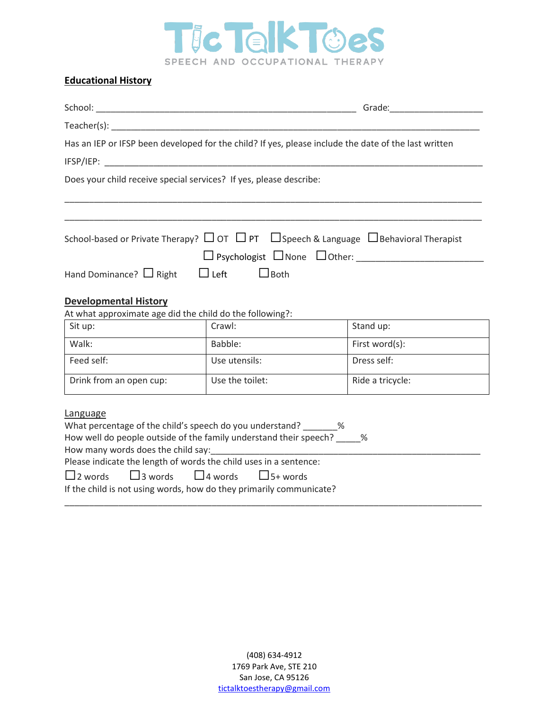

# **Educational History**

|                                                                                                                                                                                                                                                                                                  |                 | Has an IEP or IFSP been developed for the child? If yes, please include the date of the last written      |
|--------------------------------------------------------------------------------------------------------------------------------------------------------------------------------------------------------------------------------------------------------------------------------------------------|-----------------|-----------------------------------------------------------------------------------------------------------|
| Does your child receive special services? If yes, please describe:                                                                                                                                                                                                                               |                 |                                                                                                           |
|                                                                                                                                                                                                                                                                                                  |                 | School-based or Private Therapy? $\Box$ OT $\Box$ PT $\Box$ Speech & Language $\Box$ Behavioral Therapist |
| Hand Dominance? $\Box$ Right $\Box$ Left $\Box$ Both                                                                                                                                                                                                                                             |                 |                                                                                                           |
| <b>Developmental History</b><br>At what approximate age did the child do the following?:                                                                                                                                                                                                         |                 |                                                                                                           |
| Sit up:                                                                                                                                                                                                                                                                                          | Crawl:          | Stand up:                                                                                                 |
| Walk:                                                                                                                                                                                                                                                                                            | Babble:         | First word(s):                                                                                            |
| Feed self:                                                                                                                                                                                                                                                                                       | Use utensils:   | Dress self:                                                                                               |
| Drink from an open cup:                                                                                                                                                                                                                                                                          | Use the toilet: | Ride a tricycle:                                                                                          |
| Language                                                                                                                                                                                                                                                                                         |                 |                                                                                                           |
| What percentage of the child's speech do you understand? _______ %<br>How well do people outside of the family understand their speech? ____ %<br>How many words does the child say:<br>Fig. 2014<br>Please indicate the length of words the child uses in a sentence:                           |                 |                                                                                                           |
| $\Box$ 2 words $\Box$ 3 words $\Box$ 4 words $\Box$ 5+ words<br>$\mathbf{r}$ and the state of the state of the state of the state of the state of the state of the state of the state of the state of the state of the state of the state of the state of the state of the state of the state of |                 |                                                                                                           |

If the child is not using words, how do they primarily communicate?

\_\_\_\_\_\_\_\_\_\_\_\_\_\_\_\_\_\_\_\_\_\_\_\_\_\_\_\_\_\_\_\_\_\_\_\_\_\_\_\_\_\_\_\_\_\_\_\_\_\_\_\_\_\_\_\_\_\_\_\_\_\_\_\_\_\_\_\_\_\_\_\_\_\_\_\_\_\_\_\_\_\_\_\_\_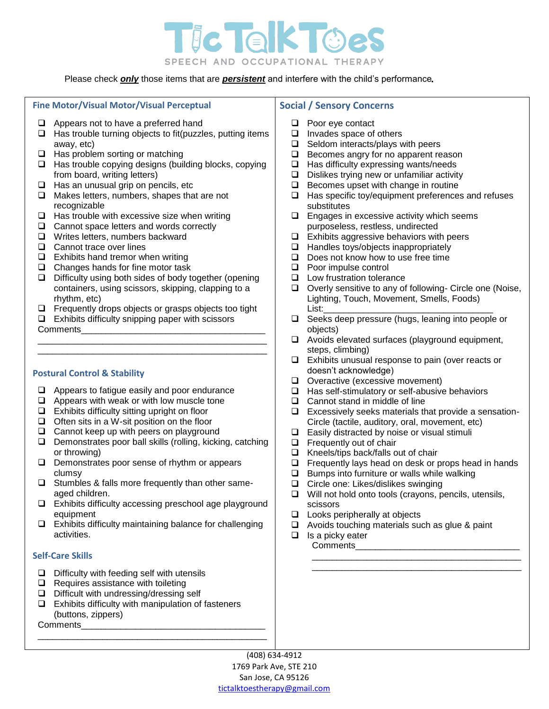

Please check  $\overline{\text{only}}$  those items that are *persistent* and interfere with the child's performance.

### **Fine Motor/Visual Motor/Visual Perceptual**

- $\Box$  Appears not to have a preferred hand
- $\Box$  Has trouble turning objects to fit(puzzles, putting items away, etc)
- $\Box$  Has problem sorting or matching
- $\Box$  Has trouble copying designs (building blocks, copying from board, writing letters)
- $\Box$  Has an unusual grip on pencils, etc
- $\Box$  Makes letters, numbers, shapes that are not recognizable
- $\Box$  Has trouble with excessive size when writing
- $\Box$  Cannot space letters and words correctly
- □ Writes letters, numbers backward
- □ Cannot trace over lines
- $\Box$  Exhibits hand tremor when writing
- $\Box$  Changes hands for fine motor task
- $\Box$  Difficulty using both sides of body together (opening containers, using scissors, skipping, clapping to a rhythm, etc)
- $\Box$  Frequently drops objects or grasps objects too tight

\_\_\_\_\_\_\_\_\_\_\_\_\_\_\_\_\_\_\_\_\_\_\_\_\_\_\_\_\_\_\_\_\_\_\_\_\_\_\_\_\_\_\_\_\_\_ \_\_\_\_\_\_\_\_\_\_\_\_\_\_\_\_\_\_\_\_\_\_\_\_\_\_\_\_\_\_\_\_\_\_\_\_\_\_\_\_\_\_\_\_\_\_

 $\Box$  Exhibits difficulty snipping paper with scissors

Comments

#### **Postural Control & Stability**

- $\Box$  Appears to fatigue easily and poor endurance
- $\Box$  Appears with weak or with low muscle tone
- $\Box$  Exhibits difficulty sitting upright on floor
- $\Box$  Often sits in a W-sit position on the floor
- $\Box$  Cannot keep up with peers on playground
- $\Box$  Demonstrates poor ball skills (rolling, kicking, catching or throwing)
- $\Box$  Demonstrates poor sense of rhythm or appears clumsy
- $\Box$  Stumbles & falls more frequently than other sameaged children.
- $\Box$  Exhibits difficulty accessing preschool age playground equipment
- $\Box$  Exhibits difficulty maintaining balance for challenging activities.

### **Self-Care Skills**

- $\Box$  Difficulty with feeding self with utensils
- $\Box$  Requires assistance with toileting
- $\Box$  Difficult with undressing/dressing self
- $\Box$  Exhibits difficulty with manipulation of fasteners (buttons, zippers) Comments\_

\_\_\_\_\_\_\_\_\_\_\_\_\_\_\_\_\_\_\_\_\_\_\_\_\_\_\_\_\_\_\_\_\_\_\_\_\_\_\_\_\_\_\_\_\_\_

**Social / Sensory Concerns**

- □ Poor eye contact
- $\Box$  Invades space of others
- $\Box$  Seldom interacts/plays with peers
- $\Box$  Becomes angry for no apparent reason
- $\Box$  Has difficulty expressing wants/needs
- $\Box$  Dislikes trying new or unfamiliar activity
- $\Box$  Becomes upset with change in routine
- $\Box$  Has specific toy/equipment preferences and refuses substitutes
- $\square$  Engages in excessive activity which seems purposeless, restless, undirected
- $\Box$  Exhibits aggressive behaviors with peers
- $\Box$  Handles toys/objects inappropriately
- $\Box$  Does not know how to use free time
- □ Poor impulse control
- $\Box$  Low frustration tolerance
- $\Box$  Overly sensitive to any of following- Circle one (Noise, Lighting, Touch, Movement, Smells, Foods) List:\_\_\_\_\_\_\_\_\_\_\_\_\_\_\_\_\_\_\_\_\_\_\_\_\_\_\_\_\_\_\_\_\_\_
- $\Box$  Seeks deep pressure (hugs, leaning into people or objects)
- Avoids elevated surfaces (playground equipment, steps, climbing)
- $\Box$  Exhibits unusual response to pain (over reacts or doesn't acknowledge)
- $\Box$  Overactive (excessive movement)
- $\Box$  Has self-stimulatory or self-abusive behaviors
- □ Cannot stand in middle of line
- $\Box$  Excessively seeks materials that provide a sensation-Circle (tactile, auditory, oral, movement, etc)
- $\Box$  Easily distracted by noise or visual stimuli
- $\Box$  Frequently out of chair
- $\Box$  Kneels/tips back/falls out of chair
- $\Box$  Frequently lays head on desk or props head in hands
- $\Box$  Bumps into furniture or walls while walking
- □ Circle one: Likes/dislikes swinging
- $\Box$  Will not hold onto tools (crayons, pencils, utensils, scissors

\_\_\_\_\_\_\_\_\_\_\_\_\_\_\_\_\_\_\_\_\_\_\_\_\_\_\_\_\_\_\_\_\_\_\_\_\_\_\_\_\_\_ \_\_\_\_\_\_\_\_\_\_\_\_\_\_\_\_\_\_\_\_\_\_\_\_\_\_\_\_\_\_\_\_\_\_\_\_\_\_\_\_\_\_

- $\Box$  Looks peripherally at objects
- $\Box$  Avoids touching materials such as glue & paint
- $\Box$  Is a picky eater Comments

(408) 634-4912 1769 Park Ave, STE 210 San Jose, CA 95126 [tictalktoestherapy@gmail.com](mailto:tictalktoestherapy@gmail.com)